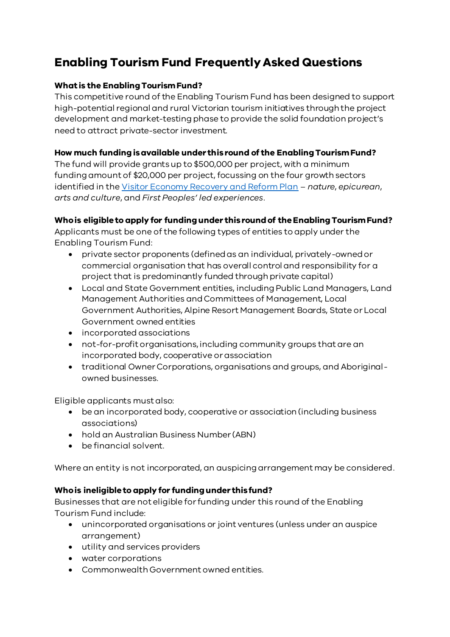# **Enabling Tourism Fund Frequently Asked Questions**

## **What is the Enabling Tourism Fund?**

This competitive round of the Enabling Tourism Fund has been designed to support high-potential regional and rural Victorian tourism initiatives through the project development and market-testing phase to provide the solid foundation project's need to attract private-sector investment.

#### **How much funding is available under this round of the Enabling Tourism Fund?**

The fund will provide grantsup to \$500,000 per project, with a minimum fundingamount of \$20,000 per project, focussing on the four growth sectors identified in th[e Visitor Economy Recovery and Reform Plan](https://djpr.vic.gov.au/significant-projects/visitor-economy-recovery-and-reform-plan) – *nature*, *epicurean*, *arts and culture*, and *First Peoples' led experiences*.

## **Who is eligible to apply for funding under this round of the Enabling Tourism Fund?**

Applicants must be one of the following types of entities to apply under the Enabling Tourism Fund:

- private sector proponents (defined as an individual, privately-ownedor commercial organisation that has overall control and responsibility for a project that is predominantly funded through private capital)
- Local and State Government entities, including Public Land Managers, Land Management Authorities and Committees of Management, Local Government Authorities, Alpine Resort Management Boards, State or Local Government owned entities
- incorporated associations
- not-for-profit organisations, including community groups that are an incorporated body, cooperative or association
- traditional Owner Corporations, organisations and groups, and Aboriginalowned businesses.

Eligible applicants must also:

- be an incorporated body, cooperative or association (including business associations)
- hold an Australian Business Number (ABN)
- be financial solvent.

Where an entity is not incorporated, an auspicing arrangement may be considered.

#### **Who is ineligible to apply for funding under this fund?**

Businesses that are not eligible for funding under this round of the Enabling Tourism Fund include:

- unincorporated organisations or joint ventures (unless under an auspice arrangement)
- utility and services providers
- water corporations
- Commonwealth Government owned entities.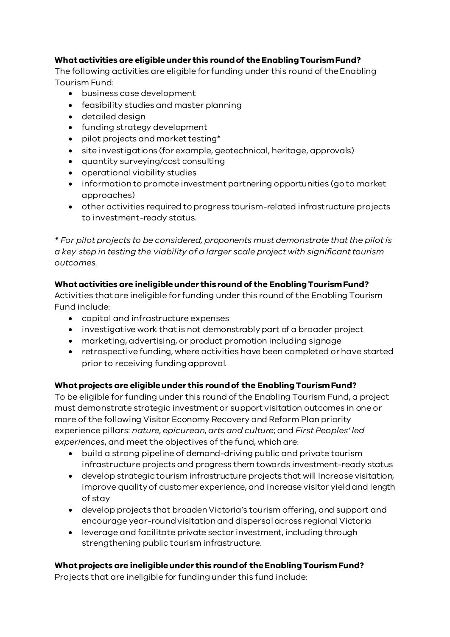# **What activities are eligible under this round of the Enabling Tourism Fund?**

The following activities are eligible for funding under this round of theEnabling Tourism Fund:

- business case development
- feasibility studies and master planning
- detailed design
- funding strategy development
- pilot projects and market testing\*
- site investigations (for example, geotechnical, heritage, approvals)
- quantity surveying/cost consulting
- operational viability studies
- information to promote investment partnering opportunities (go to market approaches)
- other activities required to progress tourism-related infrastructure projects to investment-ready status.

*\* For pilot projects to be considered, proponents must demonstrate that the pilot is a key step in testing the viability of a larger scale project with significant tourism outcomes.*

## **What activities are ineligible under this round of the Enabling Tourism Fund?**

Activities that are ineligible for funding under this round of the Enabling Tourism Fund include:

- capital and infrastructure expenses
- investigative work that is not demonstrably part of a broader project
- marketing, advertising, or product promotion including signage
- retrospective funding, where activities have been completed or have started prior to receiving funding approval.

#### **What projects are eligible under this round of the Enabling Tourism Fund?**

To be eligible for funding under this round of the Enabling Tourism Fund, a project must demonstrate strategic investment or support visitation outcomes in one or more of the following Visitor Economy Recovery and Reform Plan priority experience pillars: *nature*, *epicurean*, *arts and culture*; and *First Peoples' led experiences*, and meet the objectives of the fund, which are:

- build a strong pipeline of demand-driving public and private tourism infrastructure projects and progress them towards investment-ready status
- develop strategic tourism infrastructure projects that will increase visitation, improve quality of customer experience, and increase visitor yield and length of stay
- develop projects that broaden Victoria's tourism offering, and support and encourage year-round visitation and dispersal across regional Victoria
- leverage and facilitate private sector investment, including through strengthening public tourism infrastructure.

#### **What projects are ineligible under this round of the Enabling Tourism Fund?**

Projects that are ineligible for funding under this fund include: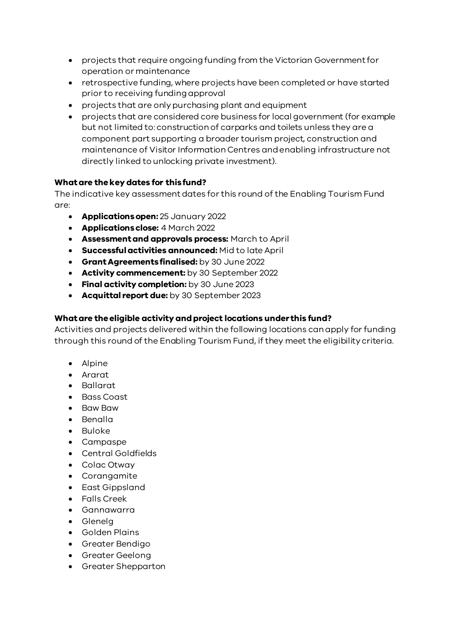- projects that require ongoing funding from the Victorian Government for operation or maintenance
- retrospective funding, where projects have been completed or have started prior to receiving funding approval
- projects that are only purchasing plant and equipment
- projects that are considered core business for local government (for example but not limited to: construction of carparks and toilets unless they are a component part supporting a broader tourism project, construction and maintenance of Visitor Information Centres and enabling infrastructure not directly linked to unlocking private investment).

#### **What are the key dates for this fund?**

The indicative key assessment dates for this round of the Enabling Tourism Fund are:

- **Applicationsopen:** 25 January 2022
- **Applications close:** 4 March 2022
- **Assessment and approvals process:** March to April
- **Successful activities announced:** Mid to late April
- **Grant Agreements finalised:** by 30 June 2022
- **Activity commencement:** by 30 September 2022
- **Final activity completion:** by 30 June 2023
- **Acquittal report due:** by 30 September 2023

#### **What are the eligible activity and project locations under this fund?**

Activities and projects delivered within the following locations can apply for funding through this round of the Enabling Tourism Fund, if they meet the eligibility criteria.

- Alpine
- Ararat
- Ballarat
- Bass Coast
- Baw Baw
- Benalla
- Buloke
- Campaspe
- Central Goldfields
- Colac Otway
- Corangamite
- East Gippsland
- Falls Creek
- Gannawarra
- Glenelg
- Golden Plains
- Greater Bendigo
- Greater Geelong
- Greater Shepparton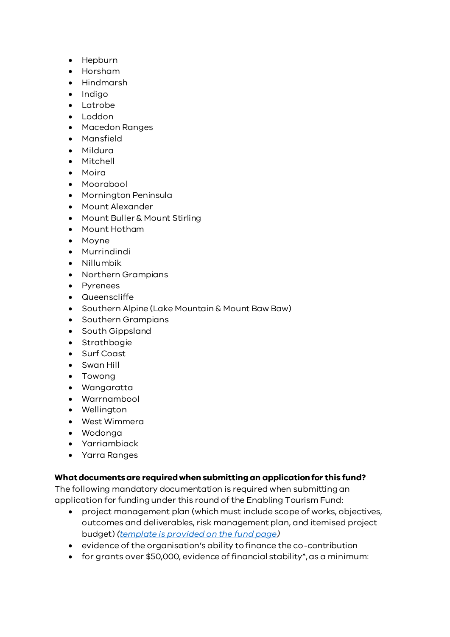- Hepburn
- Horsham
- Hindmarsh
- Indigo
- Latrobe
- Loddon
- Macedon Ranges
- Mansfield
- Mildura
- Mitchell
- Moira
- Moorabool
- Mornington Peninsula
- Mount Alexander
- Mount Buller & Mount Stirling
- Mount Hotham
- Moyne
- Murrindindi
- Nillumbik
- Northern Grampians
- Pyrenees
- Queenscliffe
- Southern Alpine (Lake Mountain & Mount Baw Baw)
- Southern Grampians
- South Gippsland
- Strathbogie
- Surf Coast
- Swan Hill
- Towong
- Wangaratta
- Warrnambool
- Wellington
- West Wimmera
- Wodonga
- Yarriambiack
- Yarra Ranges

# **What documents are required when submitting an application for this fund?**

The following mandatory documentation is required when submitting an application for funding under this round of the Enabling Tourism Fund:

- project management plan (which must include scope of works, objectives, outcomes and deliverables, risk management plan, and itemised project budget) *[\(template is provided on the fund page](https://www.rdv.vic.gov.au/__data/assets/word_doc/0015/2043105/Enabling-Tourism-Fund-Project-Plan-Template.docx))*
- evidence of the organisation's ability to finance the co-contribution
- for grants over \$50,000, evidence of financial stability\*, as a minimum: